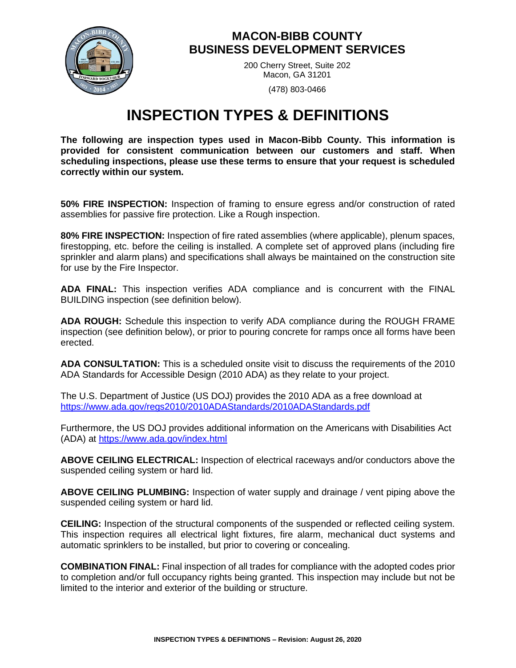

## **MACON-BIBB COUNTY BUSINESS DEVELOPMENT SERVICES**

200 Cherry Street, Suite 202 Macon, GA 31201

(478) 803-0466

## **INSPECTION TYPES & DEFINITIONS**

**The following are inspection types used in Macon-Bibb County. This information is provided for consistent communication between our customers and staff. When scheduling inspections, please use these terms to ensure that your request is scheduled correctly within our system.** 

**50% FIRE INSPECTION:** Inspection of framing to ensure egress and/or construction of rated assemblies for passive fire protection. Like a Rough inspection.

**80% FIRE INSPECTION:** Inspection of fire rated assemblies (where applicable), plenum spaces, firestopping, etc. before the ceiling is installed. A complete set of approved plans (including fire sprinkler and alarm plans) and specifications shall always be maintained on the construction site for use by the Fire Inspector.

**ADA FINAL:** This inspection verifies ADA compliance and is concurrent with the FINAL BUILDING inspection (see definition below).

**ADA ROUGH:** Schedule this inspection to verify ADA compliance during the ROUGH FRAME inspection (see definition below), or prior to pouring concrete for ramps once all forms have been erected.

**ADA CONSULTATION:** This is a scheduled onsite visit to discuss the requirements of the 2010 ADA Standards for Accessible Design (2010 ADA) as they relate to your project.

The U.S. Department of Justice (US DOJ) provides the 2010 ADA as a free download at <https://www.ada.gov/regs2010/2010ADAStandards/2010ADAStandards.pdf>

Furthermore, the US DOJ provides additional information on the Americans with Disabilities Act (ADA) at<https://www.ada.gov/index.html>

**ABOVE CEILING ELECTRICAL:** Inspection of electrical raceways and/or conductors above the suspended ceiling system or hard lid.

**ABOVE CEILING PLUMBING:** Inspection of water supply and drainage / vent piping above the suspended ceiling system or hard lid.

**CEILING:** Inspection of the structural components of the suspended or reflected ceiling system. This inspection requires all electrical light fixtures, fire alarm, mechanical duct systems and automatic sprinklers to be installed, but prior to covering or concealing.

**COMBINATION FINAL:** Final inspection of all trades for compliance with the adopted codes prior to completion and/or full occupancy rights being granted. This inspection may include but not be limited to the interior and exterior of the building or structure.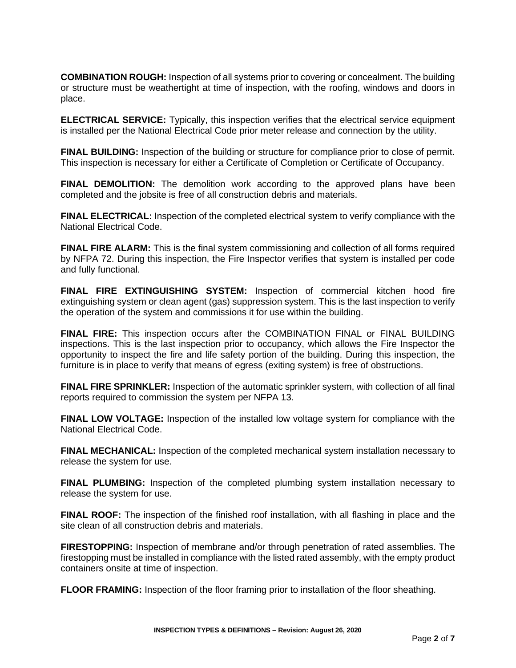**COMBINATION ROUGH:** Inspection of all systems prior to covering or concealment. The building or structure must be weathertight at time of inspection, with the roofing, windows and doors in place.

**ELECTRICAL SERVICE:** Typically, this inspection verifies that the electrical service equipment is installed per the National Electrical Code prior meter release and connection by the utility.

**FINAL BUILDING:** Inspection of the building or structure for compliance prior to close of permit. This inspection is necessary for either a Certificate of Completion or Certificate of Occupancy.

**FINAL DEMOLITION:** The demolition work according to the approved plans have been completed and the jobsite is free of all construction debris and materials.

**FINAL ELECTRICAL:** Inspection of the completed electrical system to verify compliance with the National Electrical Code.

**FINAL FIRE ALARM:** This is the final system commissioning and collection of all forms required by NFPA 72. During this inspection, the Fire Inspector verifies that system is installed per code and fully functional.

**FINAL FIRE EXTINGUISHING SYSTEM:** Inspection of commercial kitchen hood fire extinguishing system or clean agent (gas) suppression system. This is the last inspection to verify the operation of the system and commissions it for use within the building.

**FINAL FIRE:** This inspection occurs after the COMBINATION FINAL or FINAL BUILDING inspections. This is the last inspection prior to occupancy, which allows the Fire Inspector the opportunity to inspect the fire and life safety portion of the building. During this inspection, the furniture is in place to verify that means of egress (exiting system) is free of obstructions.

**FINAL FIRE SPRINKLER:** Inspection of the automatic sprinkler system, with collection of all final reports required to commission the system per NFPA 13.

**FINAL LOW VOLTAGE:** Inspection of the installed low voltage system for compliance with the National Electrical Code.

**FINAL MECHANICAL:** Inspection of the completed mechanical system installation necessary to release the system for use.

**FINAL PLUMBING:** Inspection of the completed plumbing system installation necessary to release the system for use.

**FINAL ROOF:** The inspection of the finished roof installation, with all flashing in place and the site clean of all construction debris and materials.

**FIRESTOPPING:** Inspection of membrane and/or through penetration of rated assemblies. The firestopping must be installed in compliance with the listed rated assembly, with the empty product containers onsite at time of inspection.

**FLOOR FRAMING:** Inspection of the floor framing prior to installation of the floor sheathing.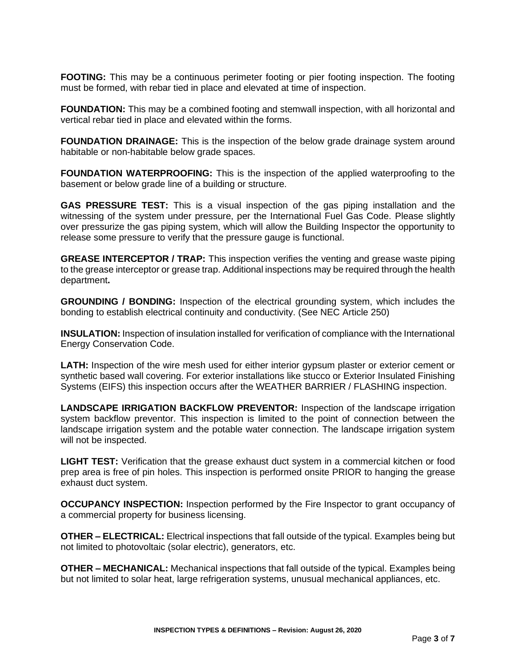**FOOTING:** This may be a continuous perimeter footing or pier footing inspection. The footing must be formed, with rebar tied in place and elevated at time of inspection.

**FOUNDATION:** This may be a combined footing and stemwall inspection, with all horizontal and vertical rebar tied in place and elevated within the forms.

**FOUNDATION DRAINAGE:** This is the inspection of the below grade drainage system around habitable or non-habitable below grade spaces.

**FOUNDATION WATERPROOFING:** This is the inspection of the applied waterproofing to the basement or below grade line of a building or structure.

**GAS PRESSURE TEST:** This is a visual inspection of the gas piping installation and the witnessing of the system under pressure, per the International Fuel Gas Code. Please slightly over pressurize the gas piping system, which will allow the Building Inspector the opportunity to release some pressure to verify that the pressure gauge is functional.

**GREASE INTERCEPTOR / TRAP:** This inspection verifies the venting and grease waste piping to the grease interceptor or grease trap. Additional inspections may be required through the health department**.** 

**GROUNDING / BONDING:** Inspection of the electrical grounding system, which includes the bonding to establish electrical continuity and conductivity. (See NEC Article 250)

**INSULATION:** Inspection of insulation installed for verification of compliance with the International Energy Conservation Code.

**LATH:** Inspection of the wire mesh used for either interior gypsum plaster or exterior cement or synthetic based wall covering. For exterior installations like stucco or Exterior Insulated Finishing Systems (EIFS) this inspection occurs after the WEATHER BARRIER / FLASHING inspection.

**LANDSCAPE IRRIGATION BACKFLOW PREVENTOR:** Inspection of the landscape irrigation system backflow preventor. This inspection is limited to the point of connection between the landscape irrigation system and the potable water connection. The landscape irrigation system will not be inspected.

**LIGHT TEST:** Verification that the grease exhaust duct system in a commercial kitchen or food prep area is free of pin holes. This inspection is performed onsite PRIOR to hanging the grease exhaust duct system.

**OCCUPANCY INSPECTION:** Inspection performed by the Fire Inspector to grant occupancy of a commercial property for business licensing.

**OTHER – ELECTRICAL:** Electrical inspections that fall outside of the typical. Examples being but not limited to photovoltaic (solar electric), generators, etc.

**OTHER – MECHANICAL:** Mechanical inspections that fall outside of the typical. Examples being but not limited to solar heat, large refrigeration systems, unusual mechanical appliances, etc.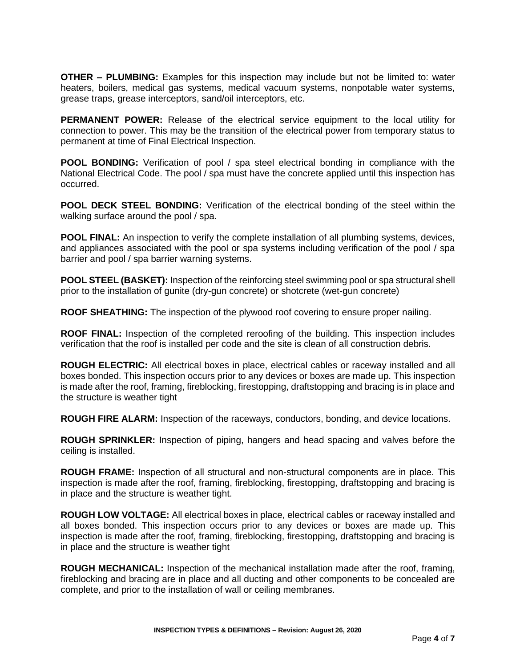**OTHER – PLUMBING:** Examples for this inspection may include but not be limited to: water heaters, boilers, medical gas systems, medical vacuum systems, nonpotable water systems, grease traps, grease interceptors, sand/oil interceptors, etc.

**PERMANENT POWER:** Release of the electrical service equipment to the local utility for connection to power. This may be the transition of the electrical power from temporary status to permanent at time of Final Electrical Inspection.

**POOL BONDING:** Verification of pool / spa steel electrical bonding in compliance with the National Electrical Code. The pool / spa must have the concrete applied until this inspection has occurred.

**POOL DECK STEEL BONDING:** Verification of the electrical bonding of the steel within the walking surface around the pool / spa.

**POOL FINAL:** An inspection to verify the complete installation of all plumbing systems, devices, and appliances associated with the pool or spa systems including verification of the pool / spa barrier and pool / spa barrier warning systems.

**POOL STEEL (BASKET):** Inspection of the reinforcing steel swimming pool or spa structural shell prior to the installation of gunite (dry-gun concrete) or shotcrete (wet-gun concrete)

**ROOF SHEATHING:** The inspection of the plywood roof covering to ensure proper nailing.

**ROOF FINAL:** Inspection of the completed reroofing of the building. This inspection includes verification that the roof is installed per code and the site is clean of all construction debris.

**ROUGH ELECTRIC:** All electrical boxes in place, electrical cables or raceway installed and all boxes bonded. This inspection occurs prior to any devices or boxes are made up. This inspection is made after the roof, framing, fireblocking, firestopping, draftstopping and bracing is in place and the structure is weather tight

**ROUGH FIRE ALARM:** Inspection of the raceways, conductors, bonding, and device locations.

**ROUGH SPRINKLER:** Inspection of piping, hangers and head spacing and valves before the ceiling is installed.

**ROUGH FRAME:** Inspection of all structural and non-structural components are in place. This inspection is made after the roof, framing, fireblocking, firestopping, draftstopping and bracing is in place and the structure is weather tight.

**ROUGH LOW VOLTAGE:** All electrical boxes in place, electrical cables or raceway installed and all boxes bonded. This inspection occurs prior to any devices or boxes are made up. This inspection is made after the roof, framing, fireblocking, firestopping, draftstopping and bracing is in place and the structure is weather tight

**ROUGH MECHANICAL:** Inspection of the mechanical installation made after the roof, framing, fireblocking and bracing are in place and all ducting and other components to be concealed are complete, and prior to the installation of wall or ceiling membranes.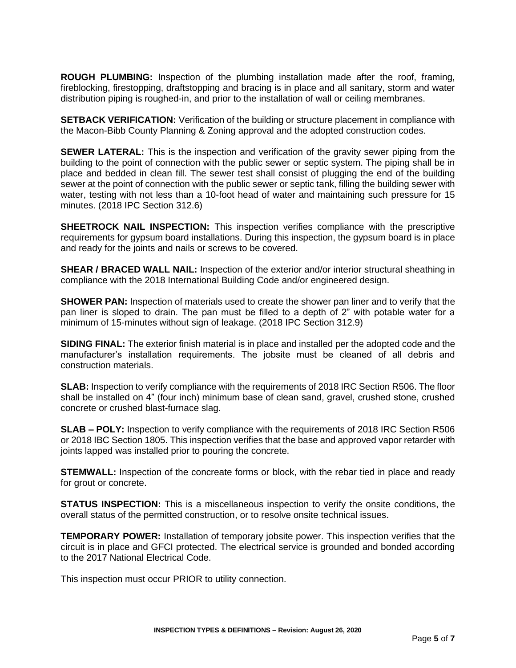**ROUGH PLUMBING:** Inspection of the plumbing installation made after the roof, framing, fireblocking, firestopping, draftstopping and bracing is in place and all sanitary, storm and water distribution piping is roughed-in, and prior to the installation of wall or ceiling membranes.

**SETBACK VERIFICATION:** Verification of the building or structure placement in compliance with the Macon-Bibb County Planning & Zoning approval and the adopted construction codes.

**SEWER LATERAL:** This is the inspection and verification of the gravity sewer piping from the building to the point of connection with the public sewer or septic system. The piping shall be in place and bedded in clean fill. The sewer test shall consist of plugging the end of the building sewer at the point of connection with the public sewer or septic tank, filling the building sewer with water, testing with not less than a 10-foot head of water and maintaining such pressure for 15 minutes. (2018 IPC Section 312.6)

**SHEETROCK NAIL INSPECTION:** This inspection verifies compliance with the prescriptive requirements for gypsum board installations. During this inspection, the gypsum board is in place and ready for the joints and nails or screws to be covered.

**SHEAR / BRACED WALL NAIL: Inspection of the exterior and/or interior structural sheathing in** compliance with the 2018 International Building Code and/or engineered design.

**SHOWER PAN:** Inspection of materials used to create the shower pan liner and to verify that the pan liner is sloped to drain. The pan must be filled to a depth of 2" with potable water for a minimum of 15-minutes without sign of leakage. (2018 IPC Section 312.9)

**SIDING FINAL:** The exterior finish material is in place and installed per the adopted code and the manufacturer's installation requirements. The jobsite must be cleaned of all debris and construction materials.

**SLAB:** Inspection to verify compliance with the requirements of 2018 IRC Section R506. The floor shall be installed on 4" (four inch) minimum base of clean sand, gravel, crushed stone, crushed concrete or crushed blast-furnace slag.

**SLAB – POLY:** Inspection to verify compliance with the requirements of 2018 IRC Section R506 or 2018 IBC Section 1805. This inspection verifies that the base and approved vapor retarder with joints lapped was installed prior to pouring the concrete.

**STEMWALL:** Inspection of the concreate forms or block, with the rebar tied in place and ready for grout or concrete.

**STATUS INSPECTION:** This is a miscellaneous inspection to verify the onsite conditions, the overall status of the permitted construction, or to resolve onsite technical issues.

**TEMPORARY POWER:** Installation of temporary jobsite power. This inspection verifies that the circuit is in place and GFCI protected. The electrical service is grounded and bonded according to the 2017 National Electrical Code.

This inspection must occur PRIOR to utility connection.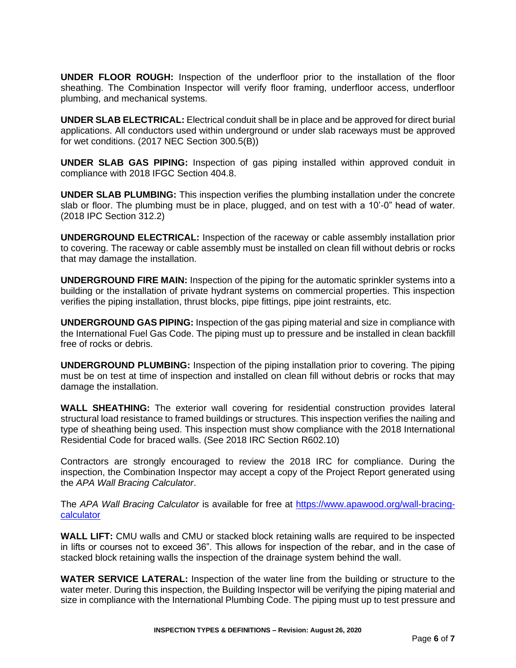**UNDER FLOOR ROUGH:** Inspection of the underfloor prior to the installation of the floor sheathing. The Combination Inspector will verify floor framing, underfloor access, underfloor plumbing, and mechanical systems.

**UNDER SLAB ELECTRICAL:** Electrical conduit shall be in place and be approved for direct burial applications. All conductors used within underground or under slab raceways must be approved for wet conditions. (2017 NEC Section 300.5(B))

**UNDER SLAB GAS PIPING:** Inspection of gas piping installed within approved conduit in compliance with 2018 IFGC Section 404.8.

**UNDER SLAB PLUMBING:** This inspection verifies the plumbing installation under the concrete slab or floor. The plumbing must be in place, plugged, and on test with a 10'-0" head of water. (2018 IPC Section 312.2)

**UNDERGROUND ELECTRICAL:** Inspection of the raceway or cable assembly installation prior to covering. The raceway or cable assembly must be installed on clean fill without debris or rocks that may damage the installation.

**UNDERGROUND FIRE MAIN:** Inspection of the piping for the automatic sprinkler systems into a building or the installation of private hydrant systems on commercial properties. This inspection verifies the piping installation, thrust blocks, pipe fittings, pipe joint restraints, etc.

**UNDERGROUND GAS PIPING:** Inspection of the gas piping material and size in compliance with the International Fuel Gas Code. The piping must up to pressure and be installed in clean backfill free of rocks or debris.

**UNDERGROUND PLUMBING:** Inspection of the piping installation prior to covering. The piping must be on test at time of inspection and installed on clean fill without debris or rocks that may damage the installation.

**WALL SHEATHING:** The exterior wall covering for residential construction provides lateral structural load resistance to framed buildings or structures. This inspection verifies the nailing and type of sheathing being used. This inspection must show compliance with the 2018 International Residential Code for braced walls. (See 2018 IRC Section R602.10)

Contractors are strongly encouraged to review the 2018 IRC for compliance. During the inspection, the Combination Inspector may accept a copy of the Project Report generated using the *APA Wall Bracing Calculator*.

The *APA Wall Bracing Calculator* is available for free at [https://www.apawood.org/wall-bracing](https://www.apawood.org/wall-bracing-calculator)[calculator](https://www.apawood.org/wall-bracing-calculator)

**WALL LIFT:** CMU walls and CMU or stacked block retaining walls are required to be inspected in lifts or courses not to exceed 36". This allows for inspection of the rebar, and in the case of stacked block retaining walls the inspection of the drainage system behind the wall.

**WATER SERVICE LATERAL:** Inspection of the water line from the building or structure to the water meter. During this inspection, the Building Inspector will be verifying the piping material and size in compliance with the International Plumbing Code. The piping must up to test pressure and